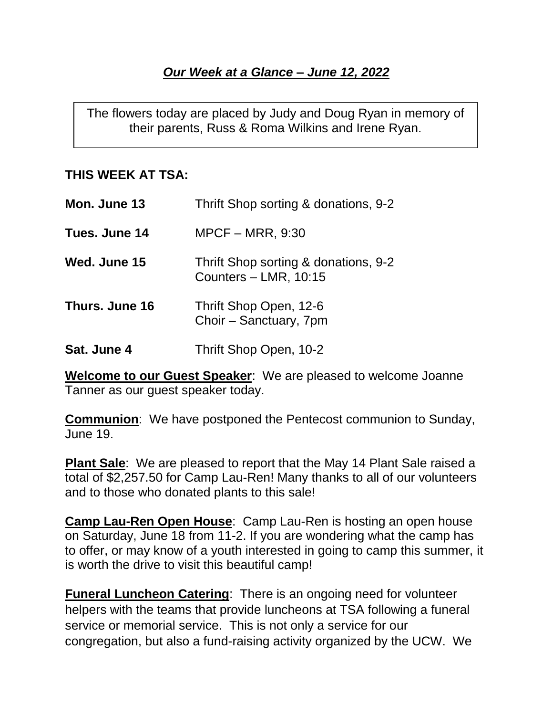## *Our Week at a Glance – June 12, 2022*

The flowers today are placed by Judy and Doug Ryan in memory of their parents, Russ & Roma Wilkins and Irene Ryan.

## **THIS WEEK AT TSA:**

| Mon. June 13         | Thrift Shop sorting & donations, 9-2                            |
|----------------------|-----------------------------------------------------------------|
| <b>Tues. June 14</b> | $MPCF - MRR$ , 9:30                                             |
| <b>Wed. June 15</b>  | Thrift Shop sorting & donations, 9-2<br>Counters $-$ LMR, 10:15 |
| Thurs. June 16       | Thrift Shop Open, 12-6<br>Choir - Sanctuary, 7pm                |
| Sat. June 4          | Thrift Shop Open, 10-2                                          |

**Welcome to our Guest Speaker**: We are pleased to welcome Joanne Tanner as our guest speaker today.

**Communion**: We have postponed the Pentecost communion to Sunday, June 19.

**Plant Sale**: We are pleased to report that the May 14 Plant Sale raised a total of \$2,257.50 for Camp Lau-Ren! Many thanks to all of our volunteers and to those who donated plants to this sale!

**Camp Lau-Ren Open House**: Camp Lau-Ren is hosting an open house on Saturday, June 18 from 11-2. If you are wondering what the camp has to offer, or may know of a youth interested in going to camp this summer, it is worth the drive to visit this beautiful camp!

**Funeral Luncheon Catering**: There is an ongoing need for volunteer helpers with the teams that provide luncheons at TSA following a funeral service or memorial service. This is not only a service for our congregation, but also a fund-raising activity organized by the UCW. We